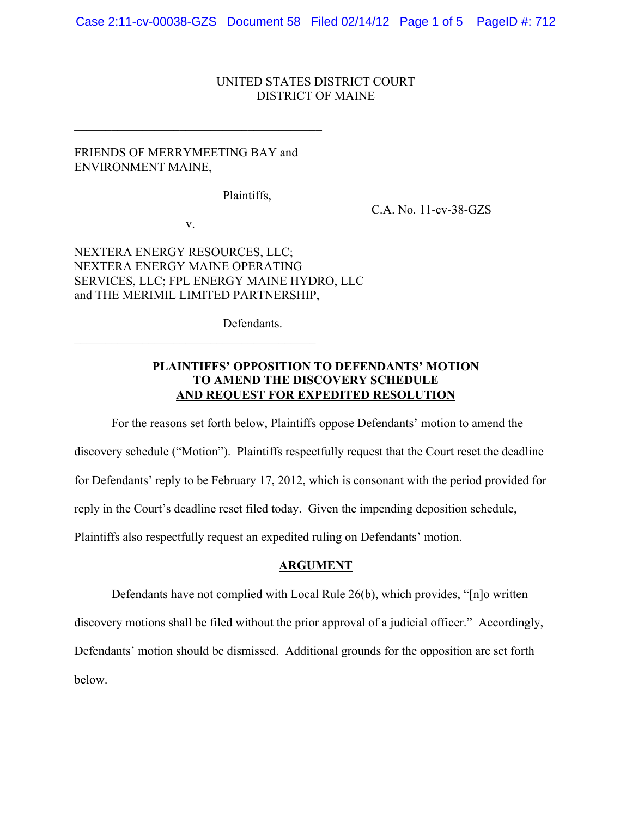Case 2:11-cv-00038-GZS Document 58 Filed 02/14/12 Page 1 of 5 PageID #: 712

#### UNITED STATES DISTRICT COURT DISTRICT OF MAINE

# FRIENDS OF MERRYMEETING BAY and ENVIRONMENT MAINE,

 $\mathcal{L}_\text{max}$ 

Plaintiffs,

C.A. No. 11-cv-38-GZS

v.

 $\mathcal{L}_\text{max}$  and  $\mathcal{L}_\text{max}$  and  $\mathcal{L}_\text{max}$  and  $\mathcal{L}_\text{max}$ 

NEXTERA ENERGY RESOURCES, LLC; NEXTERA ENERGY MAINE OPERATING SERVICES, LLC; FPL ENERGY MAINE HYDRO, LLC and THE MERIMIL LIMITED PARTNERSHIP,

Defendants.

# **PLAINTIFFS' OPPOSITION TO DEFENDANTS' MOTION TO AMEND THE DISCOVERY SCHEDULE AND REQUEST FOR EXPEDITED RESOLUTION**

For the reasons set forth below, Plaintiffs oppose Defendants' motion to amend the

discovery schedule ("Motion"). Plaintiffs respectfully request that the Court reset the deadline

for Defendants' reply to be February 17, 2012, which is consonant with the period provided for

reply in the Court's deadline reset filed today. Given the impending deposition schedule,

Plaintiffs also respectfully request an expedited ruling on Defendants' motion.

### **ARGUMENT**

Defendants have not complied with Local Rule 26(b), which provides, "[n]o written discovery motions shall be filed without the prior approval of a judicial officer." Accordingly, Defendants' motion should be dismissed. Additional grounds for the opposition are set forth below.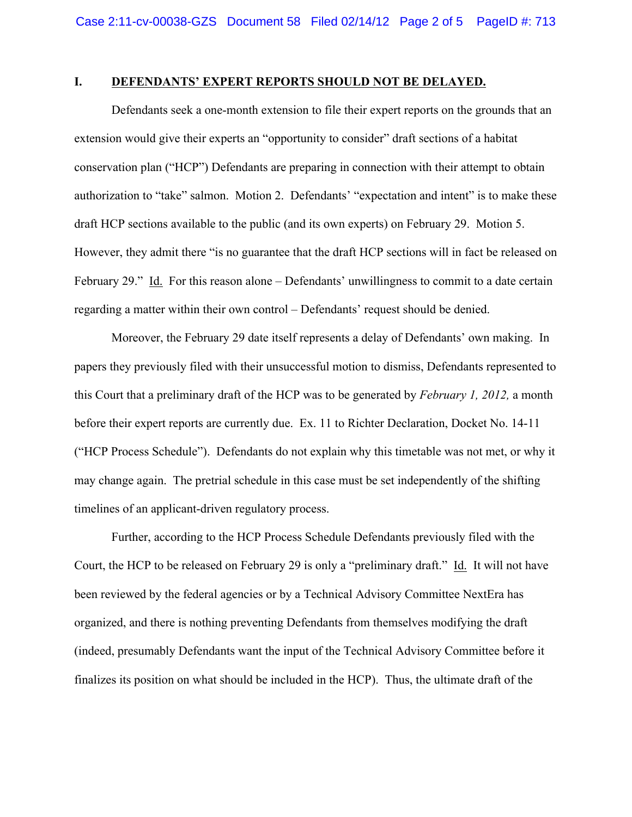### **I. DEFENDANTS' EXPERT REPORTS SHOULD NOT BE DELAYED.**

Defendants seek a one-month extension to file their expert reports on the grounds that an extension would give their experts an "opportunity to consider" draft sections of a habitat conservation plan ("HCP") Defendants are preparing in connection with their attempt to obtain authorization to "take" salmon. Motion 2. Defendants' "expectation and intent" is to make these draft HCP sections available to the public (and its own experts) on February 29. Motion 5. However, they admit there "is no guarantee that the draft HCP sections will in fact be released on February 29." Id. For this reason alone – Defendants' unwillingness to commit to a date certain regarding a matter within their own control – Defendants' request should be denied.

Moreover, the February 29 date itself represents a delay of Defendants' own making. In papers they previously filed with their unsuccessful motion to dismiss, Defendants represented to this Court that a preliminary draft of the HCP was to be generated by *February 1, 2012,* a month before their expert reports are currently due. Ex. 11 to Richter Declaration, Docket No. 14-11 ("HCP Process Schedule"). Defendants do not explain why this timetable was not met, or why it may change again. The pretrial schedule in this case must be set independently of the shifting timelines of an applicant-driven regulatory process.

Further, according to the HCP Process Schedule Defendants previously filed with the Court, the HCP to be released on February 29 is only a "preliminary draft." Id. It will not have been reviewed by the federal agencies or by a Technical Advisory Committee NextEra has organized, and there is nothing preventing Defendants from themselves modifying the draft (indeed, presumably Defendants want the input of the Technical Advisory Committee before it finalizes its position on what should be included in the HCP). Thus, the ultimate draft of the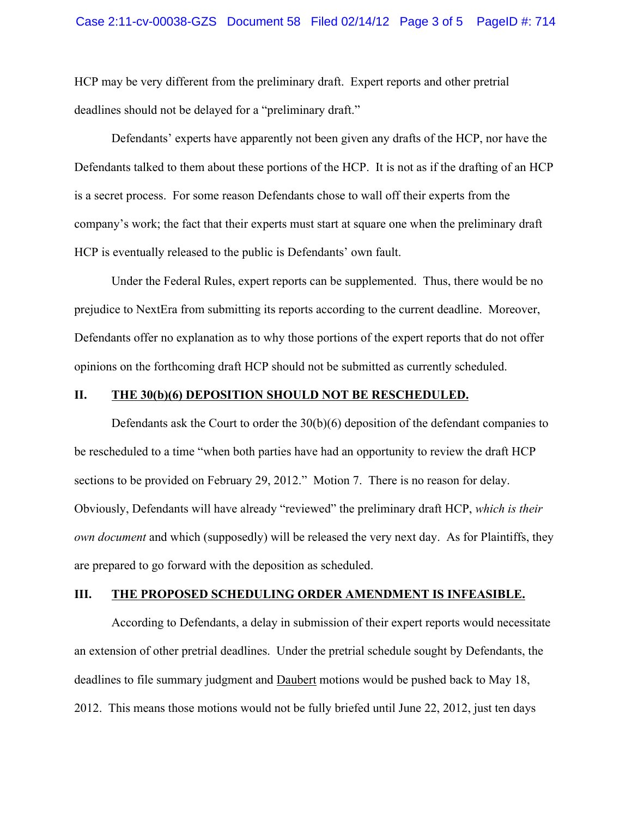HCP may be very different from the preliminary draft. Expert reports and other pretrial deadlines should not be delayed for a "preliminary draft."

Defendants' experts have apparently not been given any drafts of the HCP, nor have the Defendants talked to them about these portions of the HCP. It is not as if the drafting of an HCP is a secret process. For some reason Defendants chose to wall off their experts from the company's work; the fact that their experts must start at square one when the preliminary draft HCP is eventually released to the public is Defendants' own fault.

Under the Federal Rules, expert reports can be supplemented. Thus, there would be no prejudice to NextEra from submitting its reports according to the current deadline. Moreover, Defendants offer no explanation as to why those portions of the expert reports that do not offer opinions on the forthcoming draft HCP should not be submitted as currently scheduled.

#### **II. THE 30(b)(6) DEPOSITION SHOULD NOT BE RESCHEDULED.**

Defendants ask the Court to order the 30(b)(6) deposition of the defendant companies to be rescheduled to a time "when both parties have had an opportunity to review the draft HCP sections to be provided on February 29, 2012." Motion 7. There is no reason for delay. Obviously, Defendants will have already "reviewed" the preliminary draft HCP, *which is their own document* and which (supposedly) will be released the very next day. As for Plaintiffs, they are prepared to go forward with the deposition as scheduled.

#### **III. THE PROPOSED SCHEDULING ORDER AMENDMENT IS INFEASIBLE.**

According to Defendants, a delay in submission of their expert reports would necessitate an extension of other pretrial deadlines. Under the pretrial schedule sought by Defendants, the deadlines to file summary judgment and Daubert motions would be pushed back to May 18, 2012. This means those motions would not be fully briefed until June 22, 2012, just ten days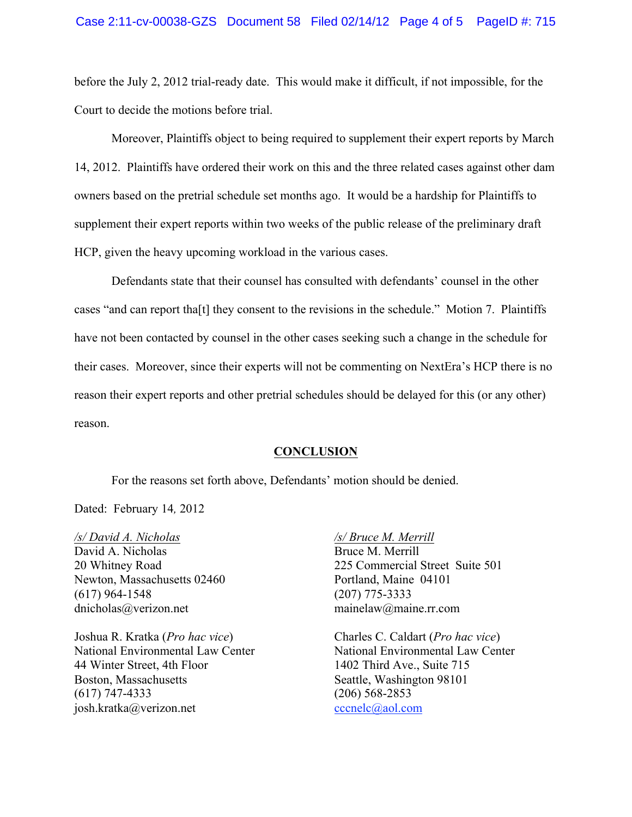before the July 2, 2012 trial-ready date. This would make it difficult, if not impossible, for the Court to decide the motions before trial.

Moreover, Plaintiffs object to being required to supplement their expert reports by March 14, 2012. Plaintiffs have ordered their work on this and the three related cases against other dam owners based on the pretrial schedule set months ago. It would be a hardship for Plaintiffs to supplement their expert reports within two weeks of the public release of the preliminary draft HCP, given the heavy upcoming workload in the various cases.

Defendants state that their counsel has consulted with defendants' counsel in the other cases "and can report tha[t] they consent to the revisions in the schedule." Motion 7. Plaintiffs have not been contacted by counsel in the other cases seeking such a change in the schedule for their cases. Moreover, since their experts will not be commenting on NextEra's HCP there is no reason their expert reports and other pretrial schedules should be delayed for this (or any other) reason.

#### **CONCLUSION**

For the reasons set forth above, Defendants' motion should be denied.

Dated: February 14*,* 2012

*/s/ David A. Nicholas /s/ Bruce M. Merrill* David A. Nicholas Bruce M. Merrill Newton, Massachusetts 02460 Portland, Maine 04101 (617) 964-1548 (207) 775-3333 dnicholas@verizon.net mainelaw@maine.rr.com

Joshua R. Kratka (*Pro hac vice*) Charles C. Caldart (*Pro hac vice*) 44 Winter Street, 4th Floor 1402 Third Ave., Suite 715 Boston, Massachusetts Seattle, Washington 98101 (617) 747-4333 (206) 568-2853 iosh.kratka@verizon.net cccnelc@aol.com

20 Whitney Road 225 Commercial Street Suite 501

National Environmental Law Center National Environmental Law Center